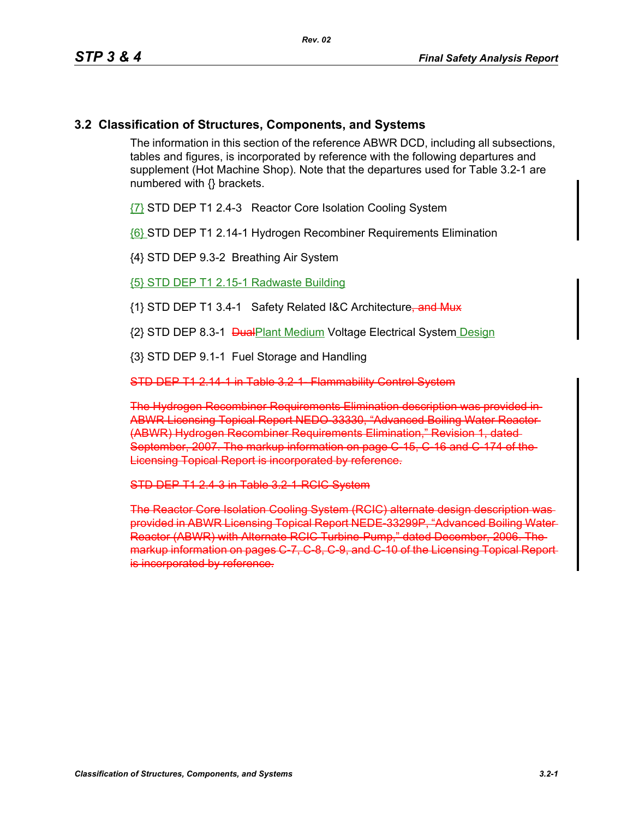## **3.2 Classification of Structures, Components, and Systems**

The information in this section of the reference ABWR DCD, including all subsections, tables and figures, is incorporated by reference with the following departures and supplement (Hot Machine Shop). Note that the departures used for Table 3.2-1 are numbered with {} brackets.

{7} STD DEP T1 2.4-3 Reactor Core Isolation Cooling System

{6} STD DEP T1 2.14-1 Hydrogen Recombiner Requirements Elimination

{4} STD DEP 9.3-2 Breathing Air System

{5} STD DEP T1 2.15-1 Radwaste Building

{1} STD DEP T1 3.4-1 Safety Related I&C Architecture, and Mux

{2} STD DEP 8.3-1 DualPlant Medium Voltage Electrical System Design

{3} STD DEP 9.1-1 Fuel Storage and Handling

STD DEP T1 2.14-1 in Table 3.2-1- Flammability Control System

The Hydrogen Recombiner Requirements Elimination description was provided in ABWR Licensing Topical Report NEDO-33330, "Advanced Boiling Water Reactor (ABWR) Hydrogen Recombiner Requirements Elimination," Revision 1, dated September, 2007. The markup information on page C-15, C-16 and C-174 of the-Licensing Topical Report is incorporated by reference.

STD DEP T1 2.4-3 in Table 3.2-1 RGIC System

The Reactor Core Isolation Cooling System (RCIC) alternate design description was provided in ABWR Licensing Topical Report NEDE-33299P, "Advanced Boiling Water Reactor (ABWR) with Alternate RCIC Turbine-Pump," dated December, 2006. The markup information on pages C-7, C-8, C-9, and C-10 of the Licensing Topical Report is incorporated by reference.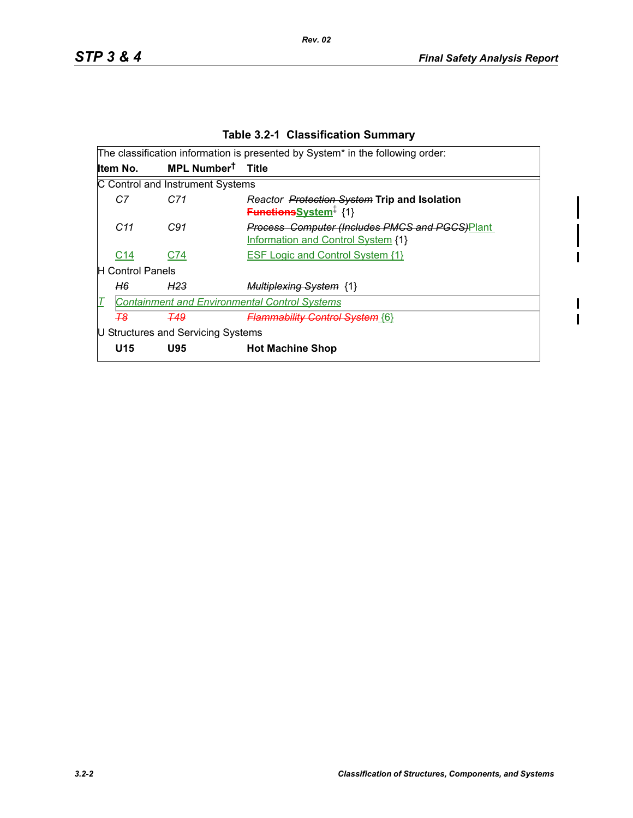L

 $\blacksquare$ 

 $\begin{array}{c} \rule{0pt}{2.5ex} \rule{0pt}{2.5ex} \rule{0pt}{2.5ex} \rule{0pt}{2.5ex} \rule{0pt}{2.5ex} \rule{0pt}{2.5ex} \rule{0pt}{2.5ex} \rule{0pt}{2.5ex} \rule{0pt}{2.5ex} \rule{0pt}{2.5ex} \rule{0pt}{2.5ex} \rule{0pt}{2.5ex} \rule{0pt}{2.5ex} \rule{0pt}{2.5ex} \rule{0pt}{2.5ex} \rule{0pt}{2.5ex} \rule{0pt}{2.5ex} \rule{0pt}{2.5ex} \rule{0pt}{2.5ex} \rule{0$  $\blacksquare$ 

|  | <b>Table 3.2-1 Classification Summary</b> |  |
|--|-------------------------------------------|--|
|--|-------------------------------------------|--|

| The classification information is presented by System* in the following order: |                               |                                                                                                    |  |  |  |  |
|--------------------------------------------------------------------------------|-------------------------------|----------------------------------------------------------------------------------------------------|--|--|--|--|
| Item No.                                                                       | MPL Number <sup>†</sup> Title |                                                                                                    |  |  |  |  |
| C Control and Instrument Systems                                               |                               |                                                                                                    |  |  |  |  |
| C7<br>C71                                                                      |                               | Reactor Protection System Trip and Isolation<br><b>Functions</b> System <sup>#</sup> {1}           |  |  |  |  |
| C <sub>11</sub><br>C91                                                         |                               | <b>Process Computer (Includes PMCS and PGCS)Plant</b><br><b>Information and Control System {1}</b> |  |  |  |  |
| C <sub>14</sub><br>C74                                                         |                               | <b>ESF Logic and Control System {1}</b>                                                            |  |  |  |  |
| H Control Panels                                                               |                               |                                                                                                    |  |  |  |  |
| H6<br>H <sub>23</sub>                                                          |                               | <b>Multiplexing System {1}</b>                                                                     |  |  |  |  |
| <b>Containment and Environmental Control Systems</b>                           |                               |                                                                                                    |  |  |  |  |
| -78<br><b>T49</b>                                                              |                               | <b>Flammability Control System {6}</b>                                                             |  |  |  |  |
| U Structures and Servicing Systems                                             |                               |                                                                                                    |  |  |  |  |
| U15<br><b>U95</b>                                                              | <b>Hot Machine Shop</b>       |                                                                                                    |  |  |  |  |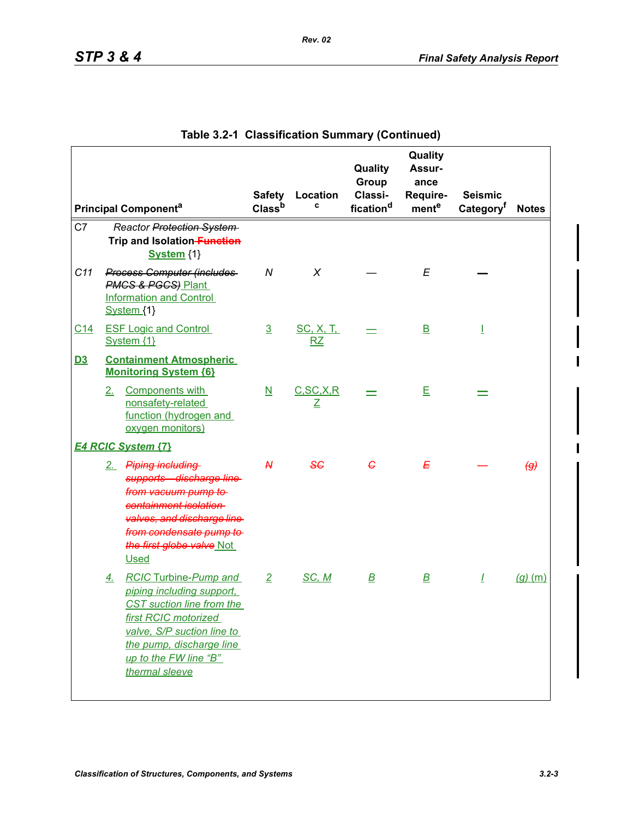|            |                             |                                                                                                                                                                                                                     | <b>Safety</b>            | Location                | Quality<br>Group<br>Classi- | Quality<br>Assur-<br>ance<br>Require- | <b>Seismic</b>        |                       |
|------------|-----------------------------|---------------------------------------------------------------------------------------------------------------------------------------------------------------------------------------------------------------------|--------------------------|-------------------------|-----------------------------|---------------------------------------|-----------------------|-----------------------|
|            | <b>Principal Componenta</b> |                                                                                                                                                                                                                     | Class <sup>b</sup>       | c                       | fication <sup>d</sup>       | mente                                 | Category <sup>f</sup> | <b>Notes</b>          |
| C7         |                             | Reactor Protection System<br>Trip and Isolation-Function<br>System {1}                                                                                                                                              |                          |                         |                             |                                       |                       |                       |
| C11        | System {1}                  | <b>Process Computer (includes</b><br><b>PMCS &amp; PGCS) Plant</b><br><b>Information and Control</b>                                                                                                                | N                        | X                       |                             | E                                     |                       |                       |
| <u>C14</u> | System {1}                  | <b>ESF Logic and Control</b>                                                                                                                                                                                        | $\overline{3}$           | <u>SC, X, T, </u><br>RZ |                             | $\overline{\mathsf{B}}$               | T                     |                       |
| <u>D3</u>  |                             | <b>Containment Atmospheric</b><br><b>Monitoring System {6}</b>                                                                                                                                                      |                          |                         |                             |                                       |                       |                       |
|            | 2 <sub>1</sub>              | Components with<br>nonsafety-related<br>function (hydrogen and<br>oxygen monitors)                                                                                                                                  | $\underline{\mathsf{N}}$ | C, SC, X, R<br>Ζ        |                             | E                                     |                       |                       |
|            | <b>E4 RCIC System {7}</b>   |                                                                                                                                                                                                                     |                          |                         |                             |                                       |                       |                       |
|            | <b>Used</b>                 | 2. Piping including<br>supports-discharge line<br>from vacuum pump to<br>containment isolation-<br>valves, and discharge line<br>from condensate pump to<br>the first globe valve Not                               | $\mathcal{H}$            | 86                      | $\epsilon$                  | Ε                                     |                       | $\left(\theta\right)$ |
|            | <u>4.</u>                   | <b>RCIC Turbine-Pump and</b><br>piping including support,<br>CST suction line from the<br>first RCIC motorized<br>valve, S/P suction line to<br>the pump, discharge line<br>up to the FW line "B"<br>thermal sleeve | $\overline{2}$           | SC, M                   | $\overline{\mathbf{B}}$     | $\overline{\mathbf{B}}$               | $\mathbf{I}$          | $(g)$ (m)             |

|  | Table 3.2-1 Classification Summary (Continued) |  |  |
|--|------------------------------------------------|--|--|
|--|------------------------------------------------|--|--|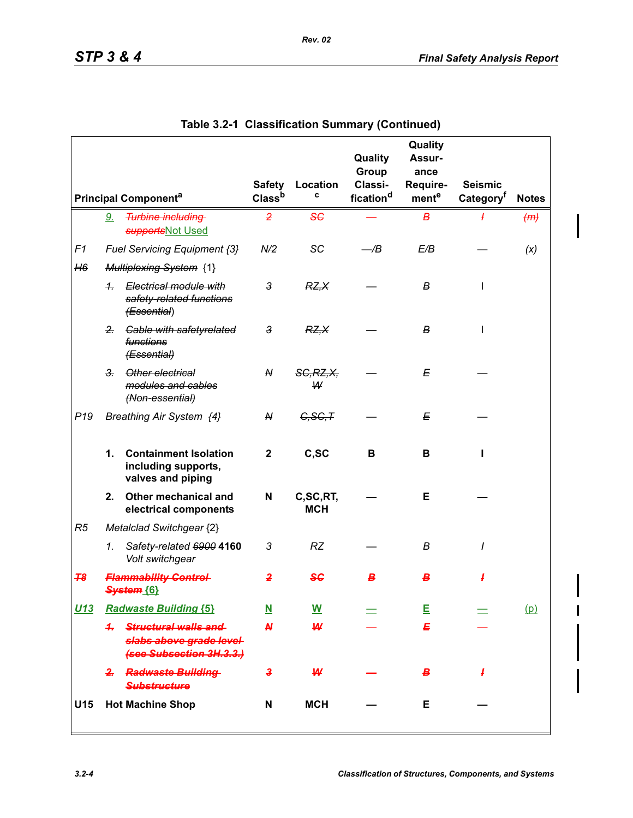|                                        |                |                                                                                |                | Safety Location        | Quality<br>Group<br>Classi- | Quality<br>Assur-<br>ance<br>Require- | <b>Seismic</b> |     |
|----------------------------------------|----------------|--------------------------------------------------------------------------------|----------------|------------------------|-----------------------------|---------------------------------------|----------------|-----|
| <b>Principal Component<sup>a</sup></b> |                | Class <sup>b</sup>                                                             | C              | fication <sup>d</sup>  | mente                       | Category <sup>f</sup>                 | <b>Notes</b>   |     |
|                                        | <u>9.</u>      | <b>Turbine including</b><br>supportsNot Used                                   | $\overline{2}$ | 56                     |                             | в                                     | ł.             | (m) |
| F1                                     |                | Fuel Servicing Equipment {3}                                                   | N/2            | SC                     | -⁄B                         | E/B                                   |                | (x) |
| H6                                     |                | <b>Multiplexing System {1}</b>                                                 |                |                        |                             |                                       |                |     |
|                                        | $\frac{1}{2}$  | Electrical module with<br>safety-related functions<br>(Essential)              | $\mathbf{3}$   | RZ, X                  |                             | В                                     | I              |     |
|                                        | 2 <sub>r</sub> | Cable with safetyrelated<br>functions<br>(Essential)                           | 3              | RZ, X                  |                             | В                                     | I              |     |
|                                        | 3 <sub>r</sub> | Other electrical<br>modules and cables<br>(Non-essential)                      | N              | SC, RZ, X,<br>W        |                             | Е                                     |                |     |
| P <sub>19</sub>                        |                | Breathing Air System {4}                                                       | N              | C, SC, T               |                             | Е                                     |                |     |
|                                        | 1.             | <b>Containment Isolation</b><br>including supports,<br>valves and piping       | $\mathbf{2}$   | C,SC                   | B                           | В                                     |                |     |
|                                        | 2.             | Other mechanical and<br>electrical components                                  | N              | C,SC,RT,<br><b>MCH</b> |                             | Е                                     |                |     |
| R5                                     |                | Metalclad Switchgear {2}                                                       |                |                        |                             |                                       |                |     |
|                                        | 1.             | Safety-related 6900 4160<br>Volt switchgear                                    | 3              | <b>RZ</b>              |                             | В                                     | I              |     |
| 78                                     |                | <b>Flammability Control-</b><br>System {6}                                     | 2              | SG                     |                             | В                                     |                |     |
| <u>U13</u>                             |                | <b>Radwaste Building {5}</b>                                                   | <u>N</u>       | <u>W</u>               |                             | Ε                                     |                | (p) |
|                                        |                | 4. Structural walls and<br>slabs above grade level<br>(see Subsection 3H.3.3.) | <b>N</b>       | ₩                      |                             | Ε                                     |                |     |
|                                        |                | 2. Radwaste Building<br><b>Substructure</b>                                    | 3              | ₩                      |                             | в.                                    | 4              |     |
| U15                                    |                | <b>Hot Machine Shop</b>                                                        | N              | <b>MCH</b>             |                             | Е                                     |                |     |

|  | Table 3.2-1 Classification Summary (Continued) |  |  |
|--|------------------------------------------------|--|--|
|--|------------------------------------------------|--|--|